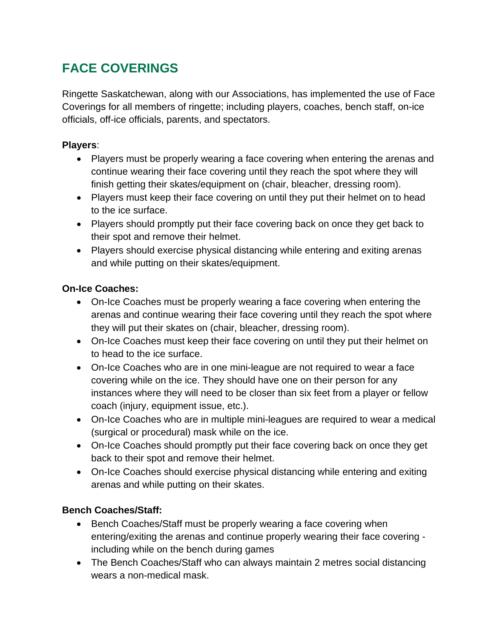# **FACE COVERINGS**

Ringette Saskatchewan, along with our Associations, has implemented the use of Face Coverings for all members of ringette; including players, coaches, bench staff, on-ice officials, off-ice officials, parents, and spectators.

#### **Players**:

- Players must be properly wearing a face covering when entering the arenas and continue wearing their face covering until they reach the spot where they will finish getting their skates/equipment on (chair, bleacher, dressing room).
- Players must keep their face covering on until they put their helmet on to head to the ice surface.
- Players should promptly put their face covering back on once they get back to their spot and remove their helmet.
- Players should exercise physical distancing while entering and exiting arenas and while putting on their skates/equipment.

#### **On-Ice Coaches:**

- On-Ice Coaches must be properly wearing a face covering when entering the arenas and continue wearing their face covering until they reach the spot where they will put their skates on (chair, bleacher, dressing room).
- On-Ice Coaches must keep their face covering on until they put their helmet on to head to the ice surface.
- On-Ice Coaches who are in one mini-league are not required to wear a face covering while on the ice. They should have one on their person for any instances where they will need to be closer than six feet from a player or fellow coach (injury, equipment issue, etc.).
- On-Ice Coaches who are in multiple mini-leagues are required to wear a medical (surgical or procedural) mask while on the ice.
- On-Ice Coaches should promptly put their face covering back on once they get back to their spot and remove their helmet.
- On-Ice Coaches should exercise physical distancing while entering and exiting arenas and while putting on their skates.

## **Bench Coaches/Staff:**

- Bench Coaches/Staff must be properly wearing a face covering when entering/exiting the arenas and continue properly wearing their face covering including while on the bench during games
- The Bench Coaches/Staff who can always maintain 2 metres social distancing wears a non-medical mask.